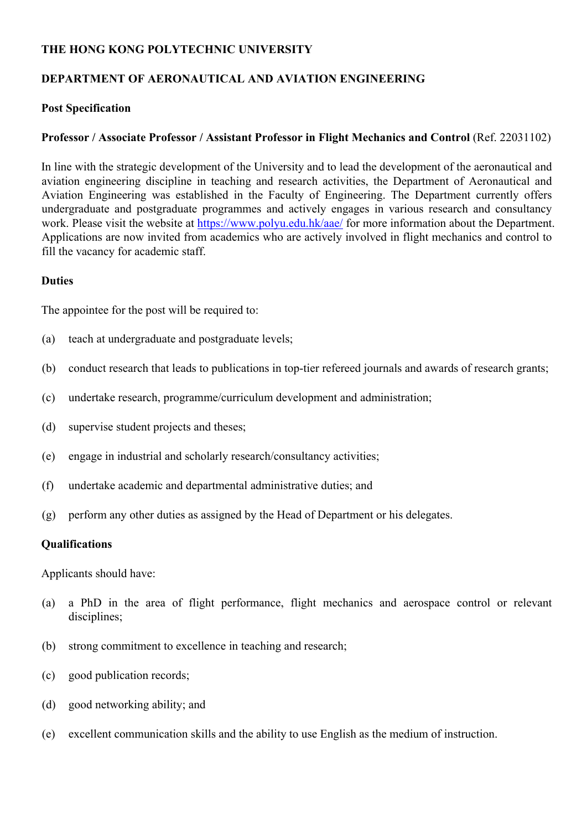## **THE HONG KONG POLYTECHNIC UNIVERSITY**

# **DEPARTMENT OF AERONAUTICAL AND AVIATION ENGINEERING**

### **Post Specification**

## **Professor / Associate Professor / Assistant Professor in Flight Mechanics and Control** (Ref. 22031102)

In line with the strategic development of the University and to lead the development of the aeronautical and aviation engineering discipline in teaching and research activities, the Department of Aeronautical and Aviation Engineering was established in the Faculty of Engineering. The Department currently offers undergraduate and postgraduate programmes and actively engages in various research and consultancy work. Please visit the website at https://www.polyu.edu.hk/aae/ for more information about the Department. Applications are now invited from academics who are actively involved in flight mechanics and control to fill the vacancy for academic staff.

#### **Duties**

The appointee for the post will be required to:

- (a) teach at undergraduate and postgraduate levels;
- (b) conduct research that leads to publications in top-tier refereed journals and awards of research grants;
- (c) undertake research, programme/curriculum development and administration;
- (d) supervise student projects and theses;
- (e) engage in industrial and scholarly research/consultancy activities;
- (f) undertake academic and departmental administrative duties; and
- (g) perform any other duties as assigned by the Head of Department or his delegates.

#### **Qualifications**

Applicants should have:

- (a) a PhD in the area of flight performance, flight mechanics and aerospace control or relevant disciplines;
- (b) strong commitment to excellence in teaching and research;
- (c) good publication records;
- (d) good networking ability; and
- (e) excellent communication skills and the ability to use English as the medium of instruction.